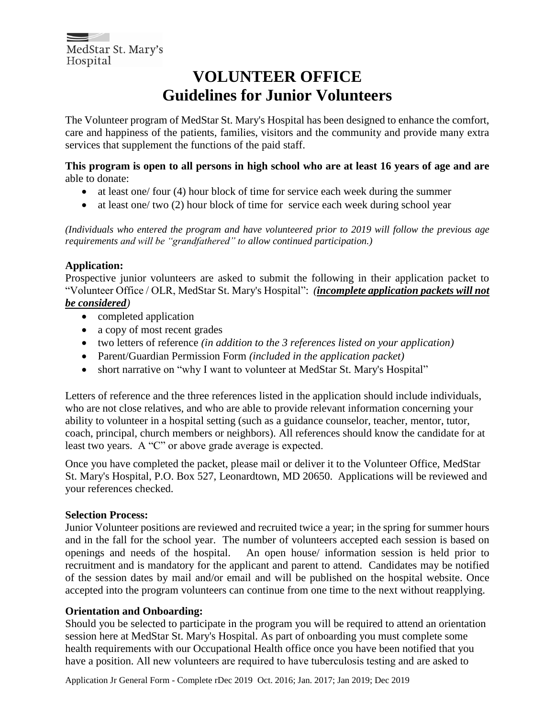#### **VOLUNTEER OFFICE Guidelines for Junior Volunteers**

The Volunteer program of MedStar St. Mary's Hospital has been designed to enhance the comfort, care and happiness of the patients, families, visitors and the community and provide many extra services that supplement the functions of the paid staff.

**This program is open to all persons in high school who are at least 16 years of age and are** able to donate:

- at least one/ four (4) hour block of time for service each week during the summer
- at least one/ two (2) hour block of time for service each week during school year

*(Individuals who entered the program and have volunteered prior to 2019 will follow the previous age requirements and will be "grandfathered" to allow continued participation.)*

#### **Application:**

Prospective junior volunteers are asked to submit the following in their application packet to "Volunteer Office / OLR, MedStar St. Mary's Hospital": *(incomplete application packets will not be considered)*

- completed application
- a copy of most recent grades
- two letters of reference *(in addition to the 3 references listed on your application)*
- Parent/Guardian Permission Form *(included in the application packet)*
- short narrative on "why I want to volunteer at MedStar St. Mary's Hospital"

Letters of reference and the three references listed in the application should include individuals, who are not close relatives, and who are able to provide relevant information concerning your ability to volunteer in a hospital setting (such as a guidance counselor, teacher, mentor, tutor, coach, principal, church members or neighbors). All references should know the candidate for at least two years. A "C" or above grade average is expected.

Once you have completed the packet, please mail or deliver it to the Volunteer Office, MedStar St. Mary's Hospital, P.O. Box 527, Leonardtown, MD 20650. Applications will be reviewed and your references checked.

#### **Selection Process:**

Junior Volunteer positions are reviewed and recruited twice a year; in the spring for summer hours and in the fall for the school year. The number of volunteers accepted each session is based on openings and needs of the hospital. An open house/ information session is held prior to recruitment and is mandatory for the applicant and parent to attend. Candidates may be notified of the session dates by mail and/or email and will be published on the hospital website. Once accepted into the program volunteers can continue from one time to the next without reapplying.

#### **Orientation and Onboarding:**

Should you be selected to participate in the program you will be required to attend an orientation session here at MedStar St. Mary's Hospital. As part of onboarding you must complete some health requirements with our Occupational Health office once you have been notified that you have a position. All new volunteers are required to have tuberculosis testing and are asked to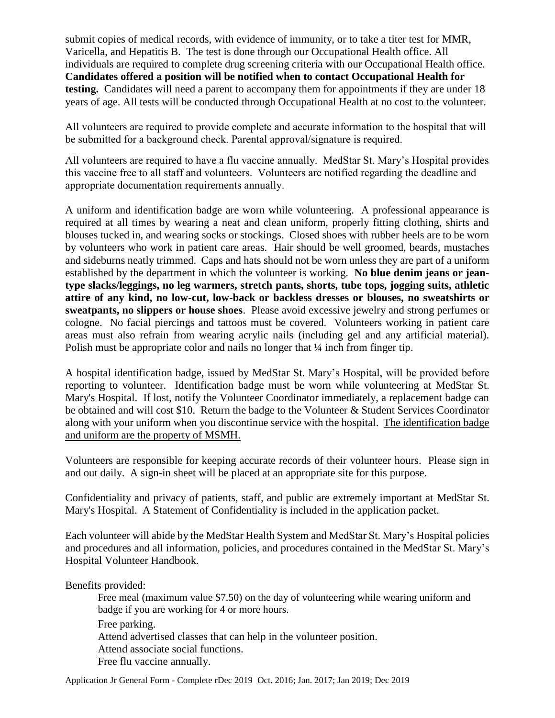submit copies of medical records, with evidence of immunity, or to take a titer test for MMR, Varicella, and Hepatitis B. The test is done through our Occupational Health office. All individuals are required to complete drug screening criteria with our Occupational Health office. **Candidates offered a position will be notified when to contact Occupational Health for testing.** Candidates will need a parent to accompany them for appointments if they are under 18 years of age. All tests will be conducted through Occupational Health at no cost to the volunteer.

All volunteers are required to provide complete and accurate information to the hospital that will be submitted for a background check. Parental approval/signature is required.

All volunteers are required to have a flu vaccine annually. MedStar St. Mary's Hospital provides this vaccine free to all staff and volunteers. Volunteers are notified regarding the deadline and appropriate documentation requirements annually.

A uniform and identification badge are worn while volunteering. A professional appearance is required at all times by wearing a neat and clean uniform, properly fitting clothing, shirts and blouses tucked in, and wearing socks or stockings. Closed shoes with rubber heels are to be worn by volunteers who work in patient care areas. Hair should be well groomed, beards, mustaches and sideburns neatly trimmed. Caps and hats should not be worn unless they are part of a uniform established by the department in which the volunteer is working. **No blue denim jeans or jeantype slacks/leggings, no leg warmers, stretch pants, shorts, tube tops, jogging suits, athletic attire of any kind, no low-cut, low-back or backless dresses or blouses, no sweatshirts or sweatpants, no slippers or house shoes**. Please avoid excessive jewelry and strong perfumes or cologne. No facial piercings and tattoos must be covered. Volunteers working in patient care areas must also refrain from wearing acrylic nails (including gel and any artificial material). Polish must be appropriate color and nails no longer that  $\frac{1}{4}$  inch from finger tip.

A hospital identification badge, issued by MedStar St. Mary's Hospital, will be provided before reporting to volunteer. Identification badge must be worn while volunteering at MedStar St. Mary's Hospital. If lost, notify the Volunteer Coordinator immediately, a replacement badge can be obtained and will cost \$10. Return the badge to the Volunteer & Student Services Coordinator along with your uniform when you discontinue service with the hospital. The identification badge and uniform are the property of MSMH.

Volunteers are responsible for keeping accurate records of their volunteer hours. Please sign in and out daily. A sign-in sheet will be placed at an appropriate site for this purpose.

Confidentiality and privacy of patients, staff, and public are extremely important at MedStar St. Mary's Hospital. A Statement of Confidentiality is included in the application packet.

Each volunteer will abide by the MedStar Health System and MedStar St. Mary's Hospital policies and procedures and all information, policies, and procedures contained in the MedStar St. Mary's Hospital Volunteer Handbook.

Benefits provided:

Free meal (maximum value \$7.50) on the day of volunteering while wearing uniform and badge if you are working for 4 or more hours. Free parking. Attend advertised classes that can help in the volunteer position. Attend associate social functions. Free flu vaccine annually.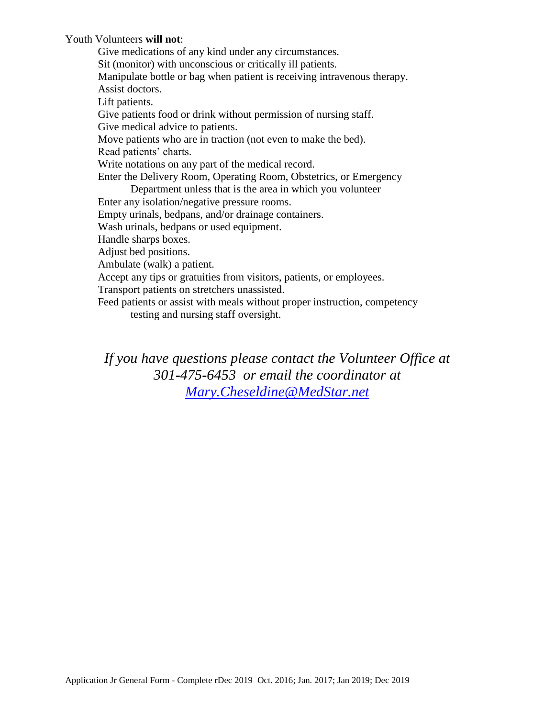Youth Volunteers **will not**:

Give medications of any kind under any circumstances. Sit (monitor) with unconscious or critically ill patients. Manipulate bottle or bag when patient is receiving intravenous therapy. Assist doctors. Lift patients. Give patients food or drink without permission of nursing staff. Give medical advice to patients. Move patients who are in traction (not even to make the bed). Read patients' charts. Write notations on any part of the medical record. Enter the Delivery Room, Operating Room, Obstetrics, or Emergency Department unless that is the area in which you volunteer Enter any isolation/negative pressure rooms. Empty urinals, bedpans, and/or drainage containers. Wash urinals, bedpans or used equipment. Handle sharps boxes. Adjust bed positions. Ambulate (walk) a patient. Accept any tips or gratuities from visitors, patients, or employees. Transport patients on stretchers unassisted. Feed patients or assist with meals without proper instruction, competency

testing and nursing staff oversight.

*If you have questions please contact the Volunteer Office at 301-475-6453 or email the coordinator at [Mary.Cheseldine@MedStar.net](mailto:Mary.Cheseldine@MedStar.net)*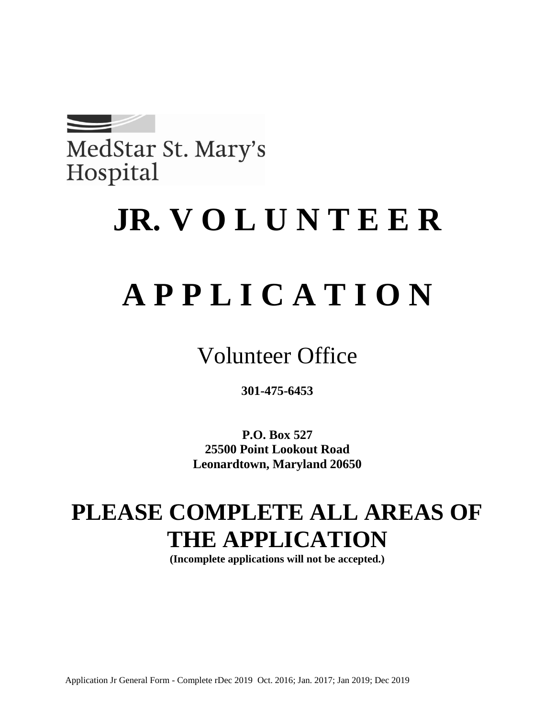

MedStar St. Mary's Hospital

## **JR. V O L U N T E E R**

# **A P P L I C A T I O N**

Volunteer Office

**301-475-6453**

**P.O. Box 527 25500 Point Lookout Road Leonardtown, Maryland 20650**

## **PLEASE COMPLETE ALL AREAS OF THE APPLICATION**

**(Incomplete applications will not be accepted.)**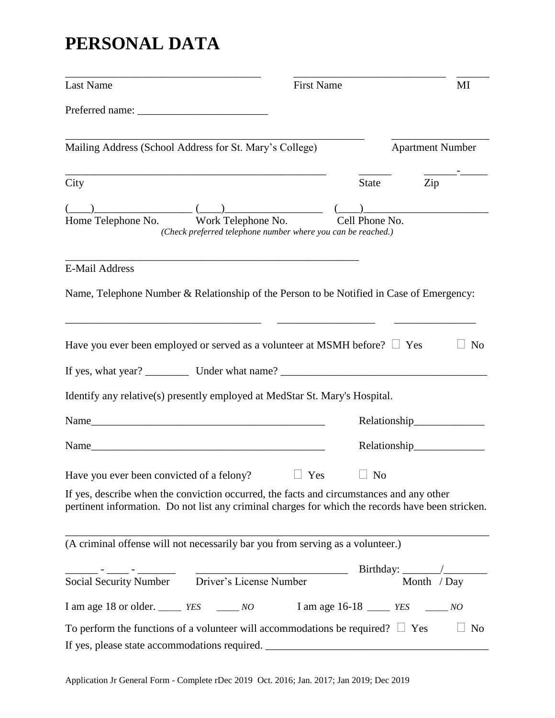## **PERSONAL DATA**

| Last Name                                                                                                                                                                                     | <b>First Name</b> |                |                            | MI             |
|-----------------------------------------------------------------------------------------------------------------------------------------------------------------------------------------------|-------------------|----------------|----------------------------|----------------|
|                                                                                                                                                                                               |                   |                |                            |                |
| Mailing Address (School Address for St. Mary's College)                                                                                                                                       |                   |                | <b>Apartment Number</b>    |                |
| City                                                                                                                                                                                          |                   | State          | Zip                        |                |
| $\frac{(-1)^{n}}{\text{Home Telephone No.}}$ Work Telephone No.                                                                                                                               |                   | Cell Phone No. |                            |                |
| (Check preferred telephone number where you can be reached.)                                                                                                                                  |                   |                |                            |                |
| <b>E-Mail Address</b>                                                                                                                                                                         |                   |                |                            |                |
| Name, Telephone Number & Relationship of the Person to be Notified in Case of Emergency:                                                                                                      |                   |                |                            |                |
| Have you ever been employed or served as a volunteer at MSMH before? $\Box$ Yes                                                                                                               |                   |                |                            | N <sub>0</sub> |
|                                                                                                                                                                                               |                   |                |                            |                |
| Identify any relative(s) presently employed at MedStar St. Mary's Hospital.                                                                                                                   |                   |                |                            |                |
|                                                                                                                                                                                               |                   |                |                            |                |
|                                                                                                                                                                                               |                   |                | Relationship______________ |                |
| Have you ever been convicted of a felony? $\Box$ Yes $\Box$ No                                                                                                                                |                   |                |                            |                |
| If yes, describe when the conviction occurred, the facts and circumstances and any other<br>pertinent information. Do not list any criminal charges for which the records have been stricken. |                   |                |                            |                |
| (A criminal offense will not necessarily bar you from serving as a volunteer.)                                                                                                                |                   |                |                            |                |
| Social Security Number<br>Driver's License Number                                                                                                                                             |                   |                | Month / Day                |                |
| I am age 18 or older. _____ YES ______ NO I am age 16-18 _____ YES _____ NO                                                                                                                   |                   |                |                            |                |
| To perform the functions of a volunteer will accommodations be required? $\Box$ Yes                                                                                                           |                   |                |                            | No             |
| If yes, please state accommodations required. ___________________________________                                                                                                             |                   |                |                            |                |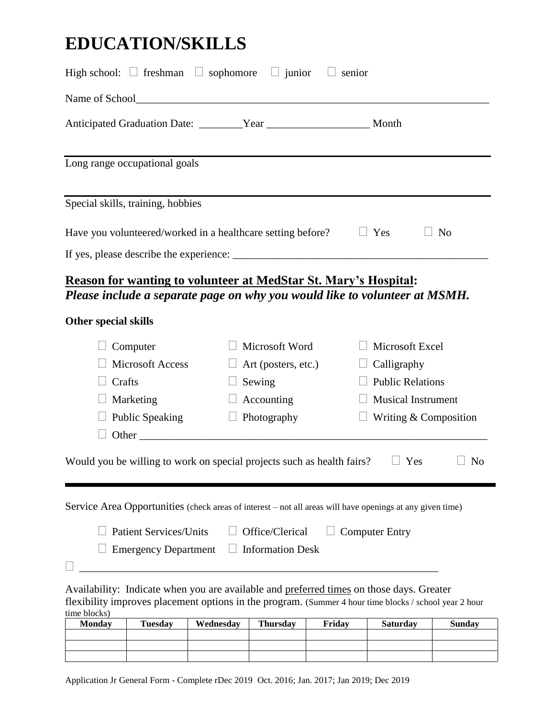## **EDUCATION/SKILLS**

| High school: $\Box$ freshman $\Box$ sophomore $\Box$ junior                                                                                                                                        |                                                                                                                                                                |                                                                                                                                                                                                                                |                                                                              | $\Box$ senior |                                                                                                                        |               |
|----------------------------------------------------------------------------------------------------------------------------------------------------------------------------------------------------|----------------------------------------------------------------------------------------------------------------------------------------------------------------|--------------------------------------------------------------------------------------------------------------------------------------------------------------------------------------------------------------------------------|------------------------------------------------------------------------------|---------------|------------------------------------------------------------------------------------------------------------------------|---------------|
|                                                                                                                                                                                                    |                                                                                                                                                                |                                                                                                                                                                                                                                |                                                                              |               |                                                                                                                        |               |
| Anticipated Graduation Date: _________Year _________________________ Month                                                                                                                         |                                                                                                                                                                |                                                                                                                                                                                                                                |                                                                              |               |                                                                                                                        |               |
| Long range occupational goals                                                                                                                                                                      |                                                                                                                                                                |                                                                                                                                                                                                                                |                                                                              |               |                                                                                                                        |               |
| Special skills, training, hobbies                                                                                                                                                                  |                                                                                                                                                                |                                                                                                                                                                                                                                |                                                                              |               |                                                                                                                        |               |
|                                                                                                                                                                                                    | Yes<br>Have you volunteered/worked in a healthcare setting before?<br>N <sub>o</sub><br><b>Reason for wanting to volunteer at MedStar St. Mary's Hospital:</b> |                                                                                                                                                                                                                                |                                                                              |               |                                                                                                                        |               |
|                                                                                                                                                                                                    |                                                                                                                                                                |                                                                                                                                                                                                                                |                                                                              |               | Please include a separate page on why you would like to volunteer at MSMH.                                             |               |
| <b>Other special skills</b>                                                                                                                                                                        |                                                                                                                                                                |                                                                                                                                                                                                                                |                                                                              |               |                                                                                                                        |               |
| Crafts                                                                                                                                                                                             | Computer<br><b>Microsoft Access</b><br>Marketing<br><b>Public Speaking</b>                                                                                     | Other contracts and the contract of the contract of the contract of the contract of the contract of the contract of the contract of the contract of the contract of the contract of the contract of the contract of the contra | Microsoft Word<br>Art (posters, etc.)<br>Sewing<br>Accounting<br>Photography |               | Microsoft Excel<br>$\Box$ Calligraphy<br><b>Public Relations</b><br><b>Musical Instrument</b><br>Writing & Composition |               |
| Would you be willing to work on special projects such as health fairs?<br><b>No</b><br>Yes                                                                                                         |                                                                                                                                                                |                                                                                                                                                                                                                                |                                                                              |               |                                                                                                                        |               |
|                                                                                                                                                                                                    |                                                                                                                                                                |                                                                                                                                                                                                                                |                                                                              |               | Service Area Opportunities (check areas of interest – not all areas will have openings at any given time)              |               |
|                                                                                                                                                                                                    | <b>Patient Services/Units</b><br><b>Emergency Department</b>                                                                                                   |                                                                                                                                                                                                                                | Office/Clerical<br><b>Information Desk</b>                                   |               | <b>Computer Entry</b>                                                                                                  |               |
| Availability: Indicate when you are available and preferred times on those days. Greater<br>flexibility improves placement options in the program. (Summer 4 hour time blocks / school year 2 hour |                                                                                                                                                                |                                                                                                                                                                                                                                |                                                                              |               |                                                                                                                        |               |
| time blocks)<br><b>Monday</b>                                                                                                                                                                      | <b>Tuesday</b>                                                                                                                                                 | Wednesday                                                                                                                                                                                                                      | <b>Thursday</b>                                                              | Friday        | <b>Saturday</b>                                                                                                        | <b>Sunday</b> |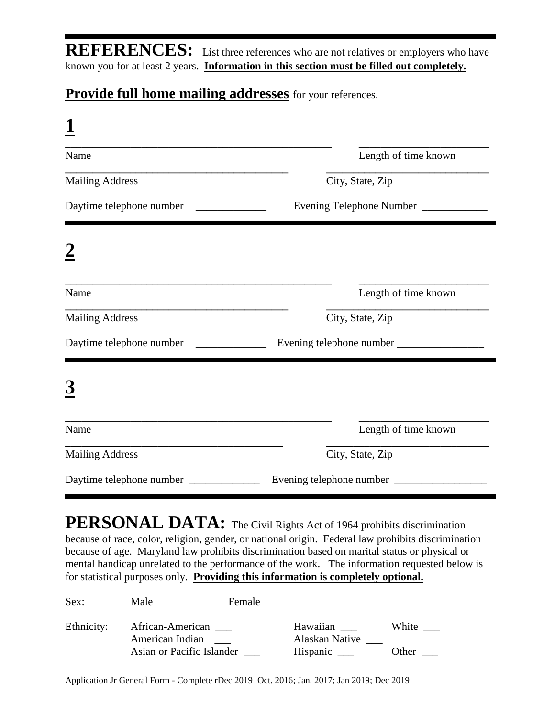**REFERENCES:** List three references who are not relatives or employers who have known you for at least 2 years. **Information in this section must be filled out completely.**

#### **Provide full home mailing addresses** for your references.

| Name                     | Length of time known       |
|--------------------------|----------------------------|
| <b>Mailing Address</b>   | City, State, Zip           |
| Daytime telephone number | Evening Telephone Number   |
|                          |                            |
| Name                     | Length of time known       |
| <b>Mailing Address</b>   | City, State, Zip           |
| Daytime telephone number | Evening telephone number   |
|                          |                            |
| Name                     | Length of time known       |
| <b>Mailing Address</b>   | City, State, Zip           |
|                          | Evening telephone number _ |

**PERSONAL DATA:** The Civil Rights Act of 1964 prohibits discrimination because of race, color, religion, gender, or national origin. Federal law prohibits discrimination because of age. Maryland law prohibits discrimination based on marital status or physical or mental handicap unrelated to the performance of the work. The information requested below is for statistical purposes only. **Providing this information is completely optional.**

| Sex:       | Male                                | Female |                            |                                |
|------------|-------------------------------------|--------|----------------------------|--------------------------------|
| Ethnicity: | African-American<br>American Indian |        | Hawaiian<br>Alaskan Native | White                          |
|            | Asian or Pacific Islander           |        | Hispanic _____             | Other $\overline{\phantom{a}}$ |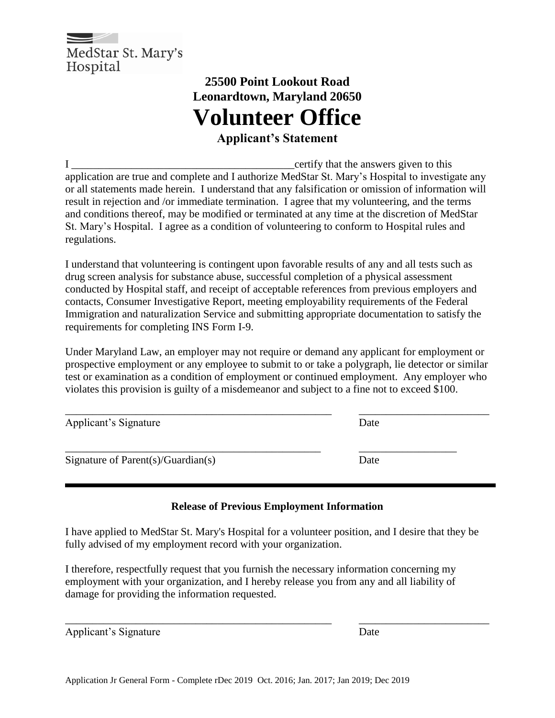

## **25500 Point Lookout Road Leonardtown, Maryland 20650 Volunteer Office**

**Applicant's Statement**

I certify that the answers given to this application are true and complete and I authorize MedStar St. Mary's Hospital to investigate any or all statements made herein. I understand that any falsification or omission of information will result in rejection and /or immediate termination. I agree that my volunteering, and the terms and conditions thereof, may be modified or terminated at any time at the discretion of MedStar St. Mary's Hospital. I agree as a condition of volunteering to conform to Hospital rules and regulations.

I understand that volunteering is contingent upon favorable results of any and all tests such as drug screen analysis for substance abuse, successful completion of a physical assessment conducted by Hospital staff, and receipt of acceptable references from previous employers and contacts, Consumer Investigative Report, meeting employability requirements of the Federal Immigration and naturalization Service and submitting appropriate documentation to satisfy the requirements for completing INS Form I-9.

Under Maryland Law, an employer may not require or demand any applicant for employment or prospective employment or any employee to submit to or take a polygraph, lie detector or similar test or examination as a condition of employment or continued employment. Any employer who violates this provision is guilty of a misdemeanor and subject to a fine not to exceed \$100.

| Applicant's Signature                     | Date |
|-------------------------------------------|------|
| Signature of Parent $(s)/G$ uardian $(s)$ | Date |

#### **Release of Previous Employment Information**

I have applied to MedStar St. Mary's Hospital for a volunteer position, and I desire that they be fully advised of my employment record with your organization.

\_\_\_\_\_\_\_\_\_\_\_\_\_\_\_\_\_\_\_\_\_\_\_\_\_\_\_\_\_\_\_\_\_\_\_\_\_\_\_\_\_\_\_\_\_\_\_\_\_ \_\_\_\_\_\_\_\_\_\_\_\_\_\_\_\_\_\_\_\_\_\_\_\_

I therefore, respectfully request that you furnish the necessary information concerning my employment with your organization, and I hereby release you from any and all liability of damage for providing the information requested.

| Applicant's Signature | Date |
|-----------------------|------|
|                       |      |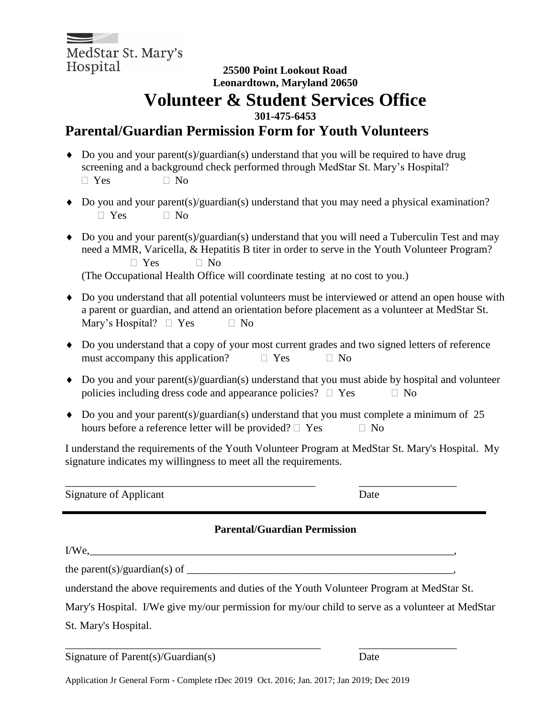MedStar St. Mary's Hospital

#### **25500 Point Lookout Road Leonardtown, Maryland 20650 Volunteer & Student Services Office**

**301-475-6453**

#### **Parental/Guardian Permission Form for Youth Volunteers**

- $\bullet$  Do you and your parent(s)/guardian(s) understand that you will be required to have drug screening and a background check performed through MedStar St. Mary's Hospital?  $\Box$  Yes  $\Box$  No
- Do you and your parent(s)/guardian(s) understand that you may need a physical examination?  $\Box$  Yes  $\Box$  No
- $\bullet$  Do you and your parent(s)/guardian(s) understand that you will need a Tuberculin Test and may need a MMR, Varicella, & Hepatitis B titer in order to serve in the Youth Volunteer Program?  $\Box$  Yes  $\Box$  No (The Occupational Health Office will coordinate testing at no cost to you.)
- Do you understand that all potential volunteers must be interviewed or attend an open house with a parent or guardian, and attend an orientation before placement as a volunteer at MedStar St. Mary's Hospital?  $\Box$  Yes  $\Box$  No
- Do you understand that a copy of your most current grades and two signed letters of reference must accompany this application?  $\Box$  Yes  $\Box$  No
- $\bullet$  Do you and your parent(s)/guardian(s) understand that you must abide by hospital and volunteer policies including dress code and appearance policies?  $\Box$  Yes  $\Box$  No
- $\bullet$  Do you and your parent(s)/guardian(s) understand that you must complete a minimum of 25 hours before a reference letter will be provided?  $\Box$  Yes  $\Box$  No

\_\_\_\_\_\_\_\_\_\_\_\_\_\_\_\_\_\_\_\_\_\_\_\_\_\_\_\_\_\_\_\_\_\_\_\_\_\_\_\_\_\_\_\_\_\_ \_\_\_\_\_\_\_\_\_\_\_\_\_\_\_\_\_\_

I understand the requirements of the Youth Volunteer Program at MedStar St. Mary's Hospital. My signature indicates my willingness to meet all the requirements.

Signature of Applicant Date

#### **Parental/Guardian Permission**

| $I/We$ , $\qquad \qquad$                                                                         |  |
|--------------------------------------------------------------------------------------------------|--|
|                                                                                                  |  |
| understand the above requirements and duties of the Youth Volunteer Program at MedStar St.       |  |
| Mary's Hospital. I/We give my/our permission for my/our child to serve as a volunteer at MedStar |  |
| St. Mary's Hospital.                                                                             |  |
|                                                                                                  |  |

Signature of Parent(s)/Guardian(s) Date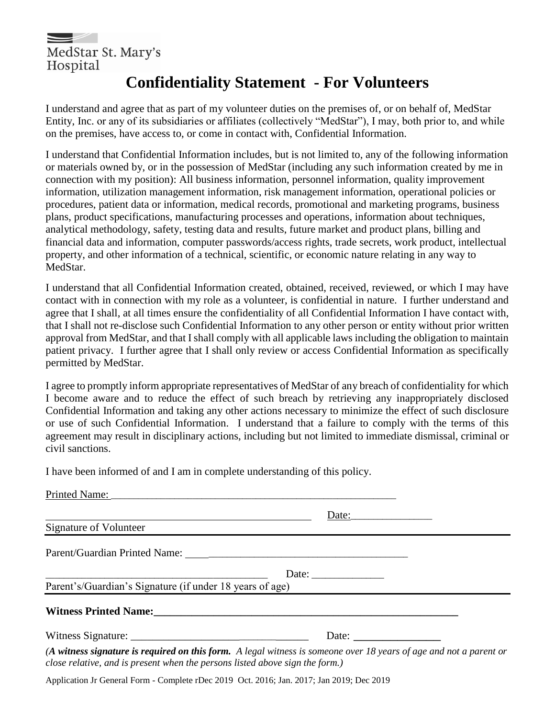

### **Confidentiality Statement - For Volunteers**

I understand and agree that as part of my volunteer duties on the premises of, or on behalf of, MedStar Entity, Inc. or any of its subsidiaries or affiliates (collectively "MedStar"), I may, both prior to, and while on the premises, have access to, or come in contact with, Confidential Information.

I understand that Confidential Information includes, but is not limited to, any of the following information or materials owned by, or in the possession of MedStar (including any such information created by me in connection with my position): All business information, personnel information, quality improvement information, utilization management information, risk management information, operational policies or procedures, patient data or information, medical records, promotional and marketing programs, business plans, product specifications, manufacturing processes and operations, information about techniques, analytical methodology, safety, testing data and results, future market and product plans, billing and financial data and information, computer passwords/access rights, trade secrets, work product, intellectual property, and other information of a technical, scientific, or economic nature relating in any way to MedStar.

I understand that all Confidential Information created, obtained, received, reviewed, or which I may have contact with in connection with my role as a volunteer, is confidential in nature. I further understand and agree that I shall, at all times ensure the confidentiality of all Confidential Information I have contact with, that I shall not re-disclose such Confidential Information to any other person or entity without prior written approval from MedStar, and that I shall comply with all applicable laws including the obligation to maintain patient privacy. I further agree that I shall only review or access Confidential Information as specifically permitted by MedStar.

I agree to promptly inform appropriate representatives of MedStar of any breach of confidentiality for which I become aware and to reduce the effect of such breach by retrieving any inappropriately disclosed Confidential Information and taking any other actions necessary to minimize the effect of such disclosure or use of such Confidential Information. I understand that a failure to comply with the terms of this agreement may result in disciplinary actions, including but not limited to immediate dismissal, criminal or civil sanctions.

I have been informed of and I am in complete understanding of this policy.

| Printed Name:                                                                                                                                                                                      |                              |  |
|----------------------------------------------------------------------------------------------------------------------------------------------------------------------------------------------------|------------------------------|--|
|                                                                                                                                                                                                    | Date:                        |  |
| Signature of Volunteer                                                                                                                                                                             |                              |  |
|                                                                                                                                                                                                    |                              |  |
|                                                                                                                                                                                                    |                              |  |
| Parent's/Guardian's Signature (if under 18 years of age)                                                                                                                                           |                              |  |
| Witness Printed Name: Manual Manual Manual Manual Manual Manual Manual Manual Manual Manual Manual Manual Manu                                                                                     |                              |  |
|                                                                                                                                                                                                    | Date: $\qquad \qquad \qquad$ |  |
| (A witness signature is required on this form. A legal witness is someone over 18 years of age and not a parent or<br>close relative, and is present when the persons listed above sign the form.) |                              |  |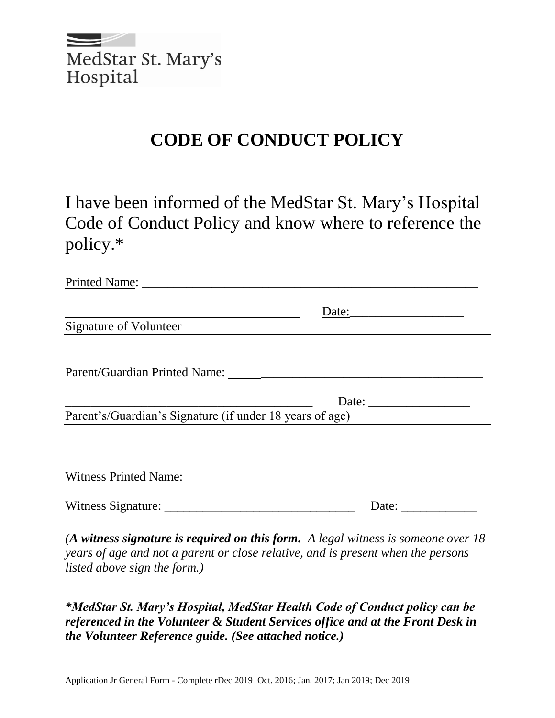

## **CODE OF CONDUCT POLICY**

I have been informed of the MedStar St. Mary's Hospital Code of Conduct Policy and know where to reference the policy.\*

| <b>Signature of Volunteer</b>                                                                                                                                          |       |
|------------------------------------------------------------------------------------------------------------------------------------------------------------------------|-------|
|                                                                                                                                                                        |       |
|                                                                                                                                                                        |       |
|                                                                                                                                                                        |       |
| Parent's/Guardian's Signature (if under 18 years of age)                                                                                                               |       |
|                                                                                                                                                                        |       |
|                                                                                                                                                                        |       |
| Witness Printed Name: Manuel Allen Manuel Allen Manuel Allen Manuel Allen Manuel Allen Manuel Allen Manuel All                                                         |       |
|                                                                                                                                                                        | Date: |
| (A witness signature is required on this form. A legal witness is someone over $18$<br>rearc of age and not a parent or close relative and is present when the persons |       |

*years of age and not a parent or close relative, and is present when the persons listed above sign the form.)*

*\*MedStar St. Mary's Hospital, MedStar Health Code of Conduct policy can be referenced in the Volunteer & Student Services office and at the Front Desk in the Volunteer Reference guide. (See attached notice.)*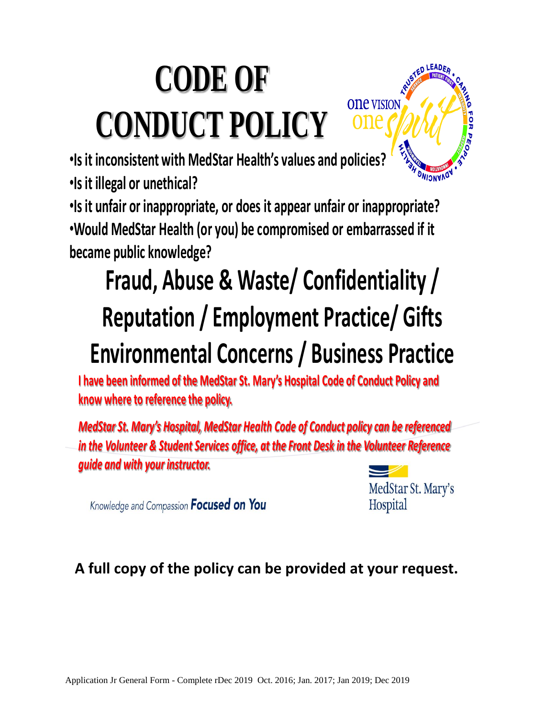# **CODE OF CONDUCT POLICY**



•**Is it inconsistent with MedStar Health's values and policies?**

•**Is it illegal or unethical?**

•**Is it unfair or inappropriate, or does it appear unfair or inappropriate?**

•**Would MedStar Health (or you) be compromised or embarrassed if it became public knowledge?** 

# **Fraud, Abuse & Waste/ Confidentiality / Reputation / Employment Practice/ Gifts Environmental Concerns / Business Practice**

**I have been informed of the MedStar St. Mary's Hospital Code of Conduct Policy and know where to reference the policy.**

*MedStar St. Mary's Hospital, MedStar Health Code of Conduct policy can be referenced in the Volunteer & Student Services office, at the Front Desk in the Volunteer Reference guide and with your instructor.* 



Hospital

Knowledge and Compassion **Focused on You** 

**A full copy of the policy can be provided at your request.**